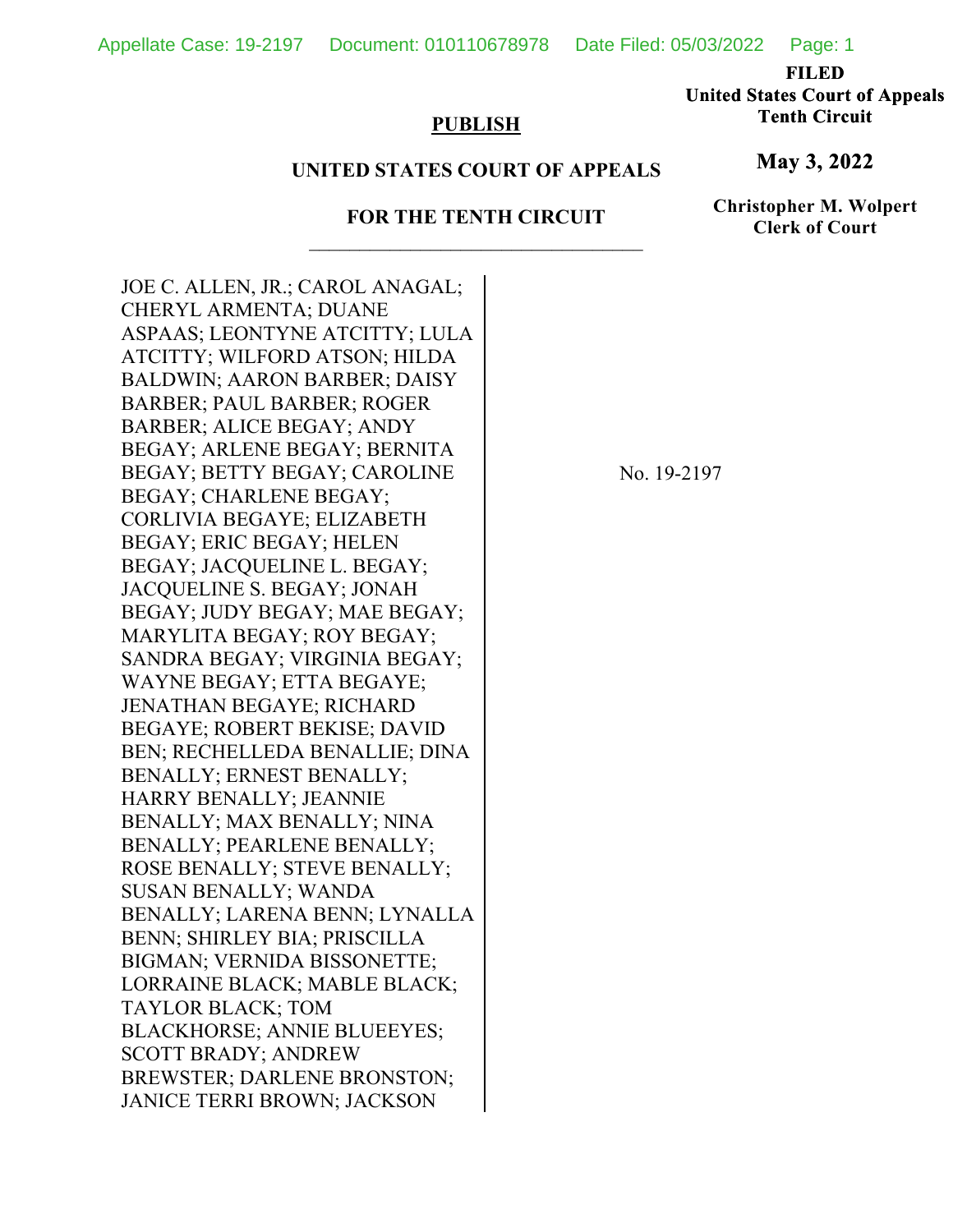Appellate Case: 19-2197 Document: 010110678978 Date Filed: 05/03/2022 Page: 1

**FILED** 

**United States Court of Appeals Tenth Circuit** 

## **PUBLISH**

## **UNITED STATES COURT OF APPEALS**

## **FOR THE TENTH CIRCUIT**

**Christopher M. Wolpert Clerk of Court**

**May 3, 2022**

JOE C. ALLEN, JR.; CAROL ANAGAL; CHERYL ARMENTA; DUANE ASPAAS; LEONTYNE ATCITTY; LULA ATCITTY; WILFORD ATSON; HILDA BALDWIN; AARON BARBER; DAISY BARBER; PAUL BARBER; ROGER BARBER; ALICE BEGAY; ANDY BEGAY; ARLENE BEGAY; BERNITA BEGAY; BETTY BEGAY; CAROLINE BEGAY; CHARLENE BEGAY; CORLIVIA BEGAYE; ELIZABETH BEGAY; ERIC BEGAY; HELEN BEGAY; JACQUELINE L. BEGAY; JACQUELINE S. BEGAY; JONAH BEGAY; JUDY BEGAY; MAE BEGAY; MARYLITA BEGAY; ROY BEGAY; SANDRA BEGAY; VIRGINIA BEGAY; WAYNE BEGAY; ETTA BEGAYE; JENATHAN BEGAYE; RICHARD BEGAYE; ROBERT BEKISE; DAVID BEN; RECHELLEDA BENALLIE; DINA BENALLY; ERNEST BENALLY; HARRY BENALLY; JEANNIE BENALLY; MAX BENALLY; NINA BENALLY; PEARLENE BENALLY; ROSE BENALLY; STEVE BENALLY; SUSAN BENALLY; WANDA BENALLY; LARENA BENN; LYNALLA BENN; SHIRLEY BIA; PRISCILLA BIGMAN; VERNIDA BISSONETTE; LORRAINE BLACK; MABLE BLACK; TAYLOR BLACK; TOM BLACKHORSE; ANNIE BLUEEYES; SCOTT BRADY; ANDREW BREWSTER; DARLENE BRONSTON; JANICE TERRI BROWN; JACKSON

No. 19-2197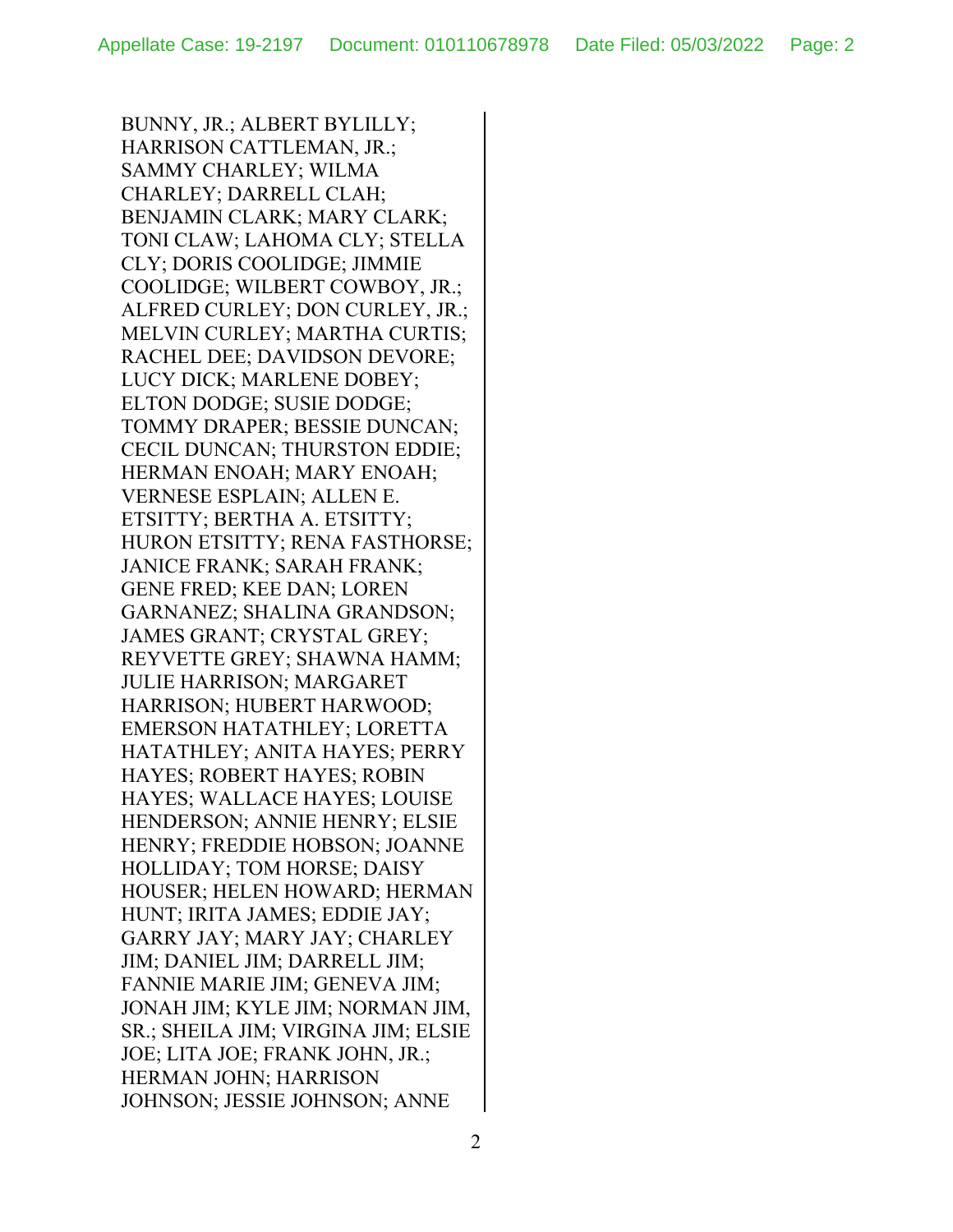BUNNY, JR.; ALBERT BYLILLY; HARRISON CATTLEMAN, JR.; SAMMY CHARLEY; WILMA CHARLEY; DARRELL CLAH; BENJAMIN CLARK; MARY CLARK; TONI CLAW; LAHOMA CLY; STELLA CLY; DORIS COOLIDGE; JIMMIE COOLIDGE; WILBERT COWBOY, JR.; ALFRED CURLEY; DON CURLEY, JR.; MELVIN CURLEY; MARTHA CURTIS; RACHEL DEE; DAVIDSON DEVORE; LUCY DICK; MARLENE DOBEY; ELTON DODGE; SUSIE DODGE; TOMMY DRAPER; BESSIE DUNCAN; CECIL DUNCAN; THURSTON EDDIE; HERMAN ENOAH; MARY ENOAH; VERNESE ESPLAIN; ALLEN E. ETSITTY; BERTHA A. ETSITTY; HURON ETSITTY; RENA FASTHORSE; JANICE FRANK; SARAH FRANK; GENE FRED; KEE DAN; LOREN GARNANEZ; SHALINA GRANDSON; JAMES GRANT; CRYSTAL GREY; REYVETTE GREY; SHAWNA HAMM; JULIE HARRISON; MARGARET HARRISON; HUBERT HARWOOD; EMERSON HATATHLEY; LORETTA HATATHLEY; ANITA HAYES; PERRY HAYES; ROBERT HAYES; ROBIN HAYES; WALLACE HAYES; LOUISE HENDERSON; ANNIE HENRY; ELSIE HENRY; FREDDIE HOBSON; JOANNE HOLLIDAY; TOM HORSE; DAISY HOUSER; HELEN HOWARD; HERMAN HUNT; IRITA JAMES; EDDIE JAY; GARRY JAY; MARY JAY; CHARLEY JIM; DANIEL JIM; DARRELL JIM; FANNIE MARIE JIM; GENEVA JIM; JONAH JIM; KYLE JIM; NORMAN JIM, SR.; SHEILA JIM; VIRGINA JIM; ELSIE JOE; LITA JOE; FRANK JOHN, JR.; HERMAN JOHN; HARRISON JOHNSON; JESSIE JOHNSON; ANNE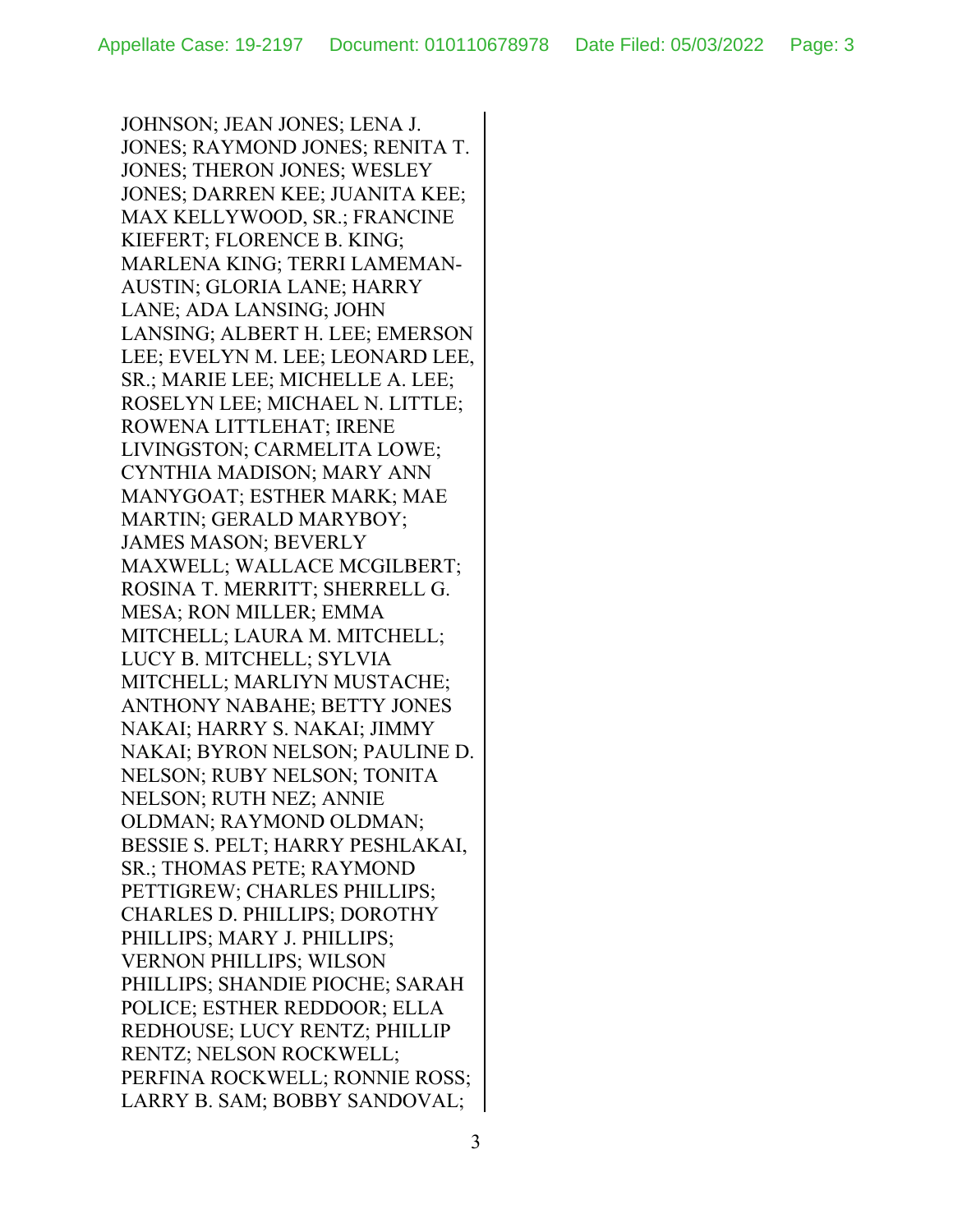JOHNSON; JEAN JONES; LENA J. JONES; RAYMOND JONES; RENITA T. JONES; THERON JONES; WESLEY JONES; DARREN KEE; JUANITA KEE; MAX KELLYWOOD, SR.; FRANCINE KIEFERT; FLORENCE B. KING; MARLENA KING; TERRI LAMEMAN-AUSTIN; GLORIA LANE; HARRY LANE; ADA LANSING; JOHN LANSING; ALBERT H. LEE; EMERSON LEE; EVELYN M. LEE; LEONARD LEE, SR.; MARIE LEE; MICHELLE A. LEE; ROSELYN LEE; MICHAEL N. LITTLE; ROWENA LITTLEHAT; IRENE LIVINGSTON; CARMELITA LOWE; CYNTHIA MADISON; MARY ANN MANYGOAT; ESTHER MARK; MAE MARTIN; GERALD MARYBOY; JAMES MASON; BEVERLY MAXWELL; WALLACE MCGILBERT; ROSINA T. MERRITT; SHERRELL G. MESA; RON MILLER; EMMA MITCHELL; LAURA M. MITCHELL; LUCY B. MITCHELL; SYLVIA MITCHELL; MARLIYN MUSTACHE; ANTHONY NABAHE; BETTY JONES NAKAI; HARRY S. NAKAI; JIMMY NAKAI; BYRON NELSON; PAULINE D. NELSON; RUBY NELSON; TONITA NELSON; RUTH NEZ; ANNIE OLDMAN; RAYMOND OLDMAN; BESSIE S. PELT; HARRY PESHLAKAI, SR.; THOMAS PETE; RAYMOND PETTIGREW; CHARLES PHILLIPS; CHARLES D. PHILLIPS; DOROTHY PHILLIPS; MARY J. PHILLIPS; VERNON PHILLIPS; WILSON PHILLIPS; SHANDIE PIOCHE; SARAH POLICE; ESTHER REDDOOR; ELLA REDHOUSE; LUCY RENTZ; PHILLIP RENTZ; NELSON ROCKWELL; PERFINA ROCKWELL; RONNIE ROSS; LARRY B. SAM; BOBBY SANDOVAL;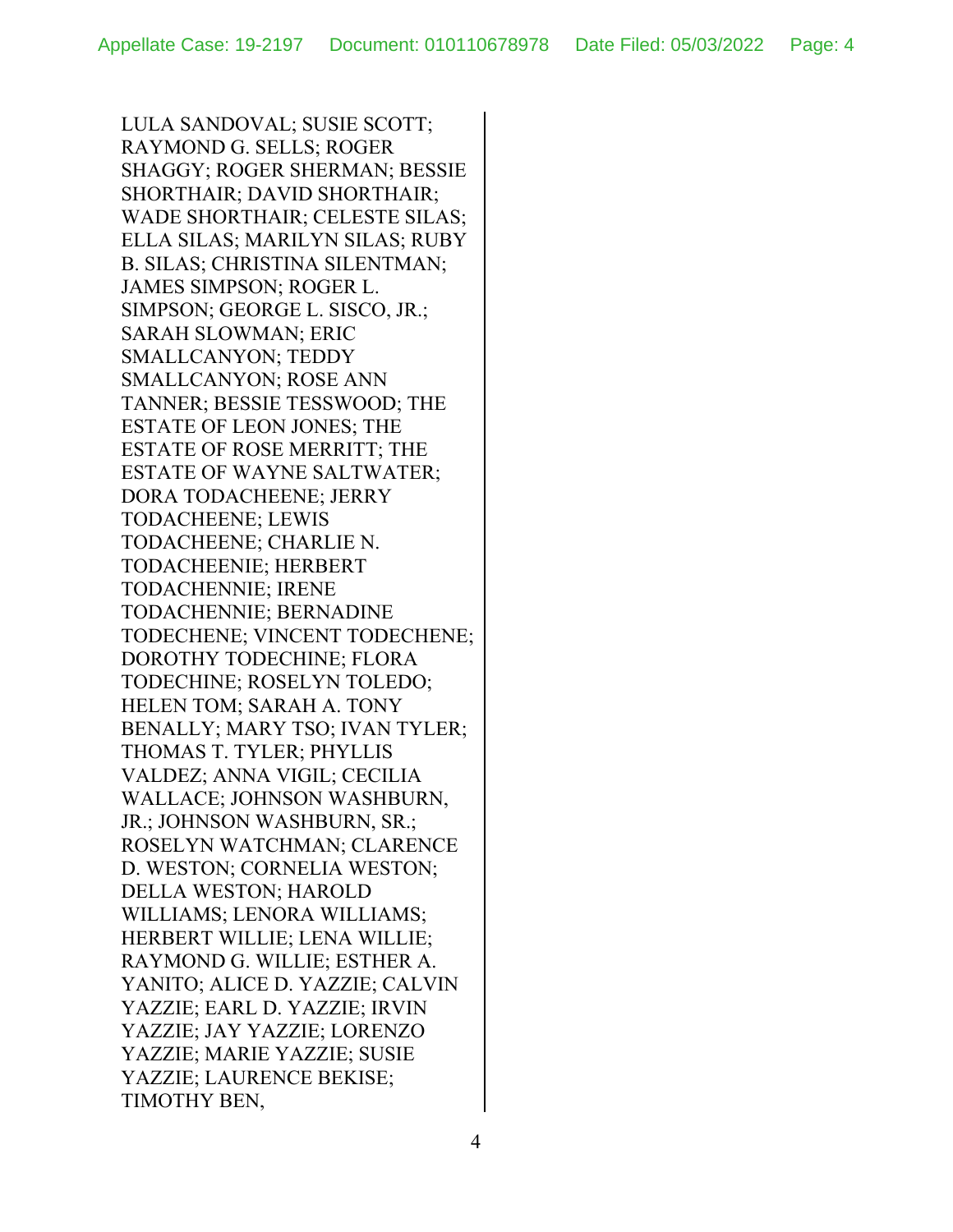LULA SANDOVAL; SUSIE SCOTT; RAYMOND G. SELLS; ROGER SHAGGY; ROGER SHERMAN; BESSIE SHORTHAIR; DAVID SHORTHAIR; WADE SHORTHAIR; CELESTE SILAS; ELLA SILAS; MARILYN SILAS; RUBY B. SILAS; CHRISTINA SILENTMAN; JAMES SIMPSON; ROGER L. SIMPSON; GEORGE L. SISCO, JR.; SARAH SLOWMAN; ERIC SMALLCANYON; TEDDY SMALLCANYON; ROSE ANN TANNER; BESSIE TESSWOOD; THE ESTATE OF LEON JONES; THE ESTATE OF ROSE MERRITT; THE ESTATE OF WAYNE SALTWATER; DORA TODACHEENE; JERRY TODACHEENE; LEWIS TODACHEENE; CHARLIE N. TODACHEENIE; HERBERT TODACHENNIE; IRENE TODACHENNIE; BERNADINE TODECHENE; VINCENT TODECHENE; DOROTHY TODECHINE; FLORA TODECHINE; ROSELYN TOLEDO; HELEN TOM; SARAH A. TONY BENALLY; MARY TSO; IVAN TYLER; THOMAS T. TYLER; PHYLLIS VALDEZ; ANNA VIGIL; CECILIA WALLACE; JOHNSON WASHBURN, JR.; JOHNSON WASHBURN, SR.; ROSELYN WATCHMAN; CLARENCE D. WESTON; CORNELIA WESTON; DELLA WESTON; HAROLD WILLIAMS; LENORA WILLIAMS; HERBERT WILLIE; LENA WILLIE; RAYMOND G. WILLIE; ESTHER A. YANITO; ALICE D. YAZZIE; CALVIN YAZZIE; EARL D. YAZZIE; IRVIN YAZZIE; JAY YAZZIE; LORENZO YAZZIE; MARIE YAZZIE; SUSIE YAZZIE; LAURENCE BEKISE; TIMOTHY BEN,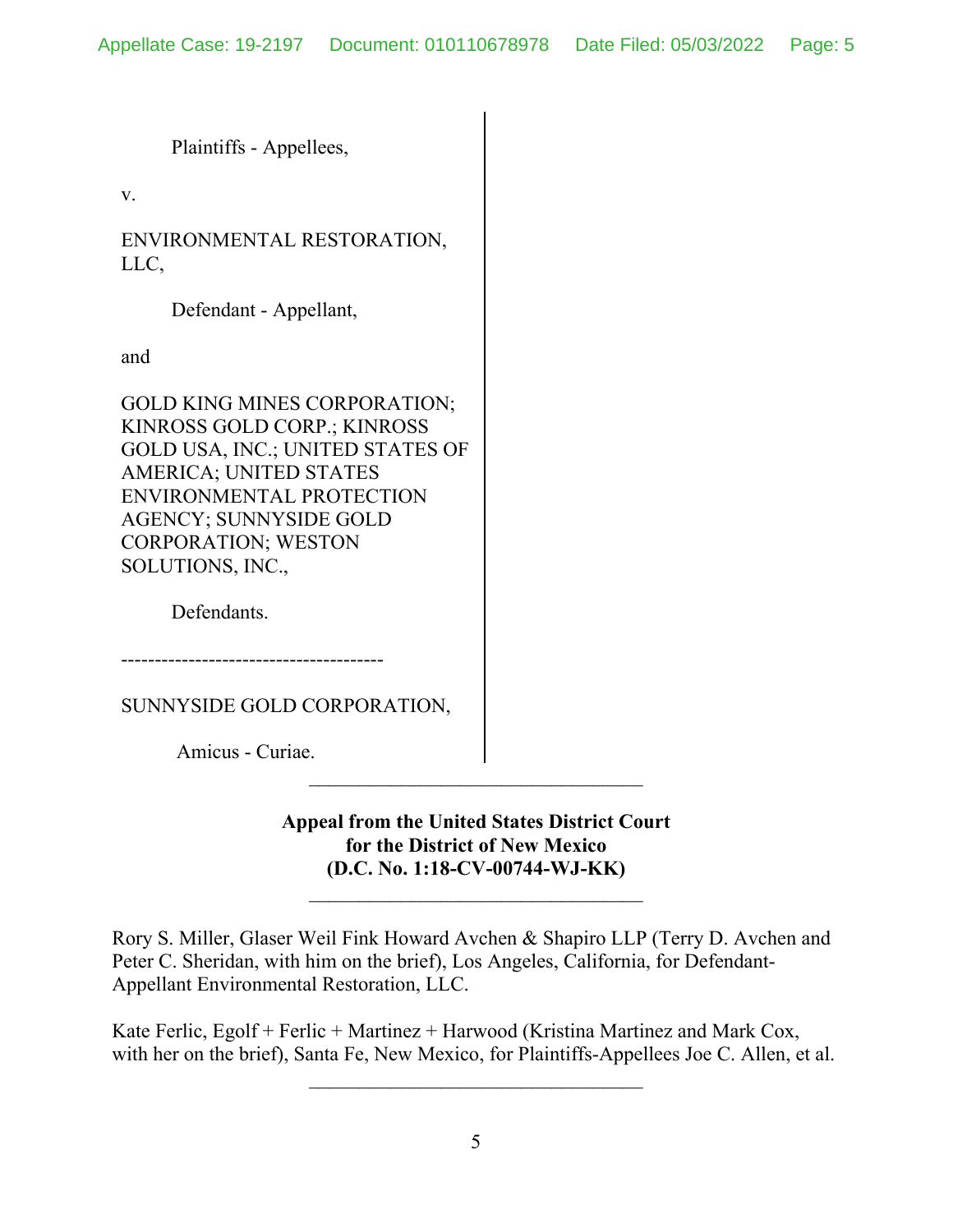Plaintiffs - Appellees,

v.

ENVIRONMENTAL RESTORATION, LLC,

Defendant - Appellant,

and

GOLD KING MINES CORPORATION; KINROSS GOLD CORP.; KINROSS GOLD USA, INC.; UNITED STATES OF AMERICA; UNITED STATES ENVIRONMENTAL PROTECTION AGENCY; SUNNYSIDE GOLD CORPORATION; WESTON SOLUTIONS, INC.,

Defendants.

---------------------------------------

SUNNYSIDE GOLD CORPORATION,

Amicus - Curiae.

**Appeal from the United States District Court for the District of New Mexico (D.C. No. 1:18-CV-00744-WJ-KK)**

\_\_\_\_\_\_\_\_\_\_\_\_\_\_\_\_\_\_\_\_\_\_\_\_\_\_\_\_\_\_\_\_\_

Rory S. Miller, Glaser Weil Fink Howard Avchen & Shapiro LLP (Terry D. Avchen and Peter C. Sheridan, with him on the brief), Los Angeles, California, for Defendant-Appellant Environmental Restoration, LLC.

Kate Ferlic, Egolf + Ferlic + Martinez + Harwood (Kristina Martinez and Mark Cox, with her on the brief), Santa Fe, New Mexico, for Plaintiffs-Appellees Joe C. Allen, et al.

 $\mathcal{L}_\text{max}$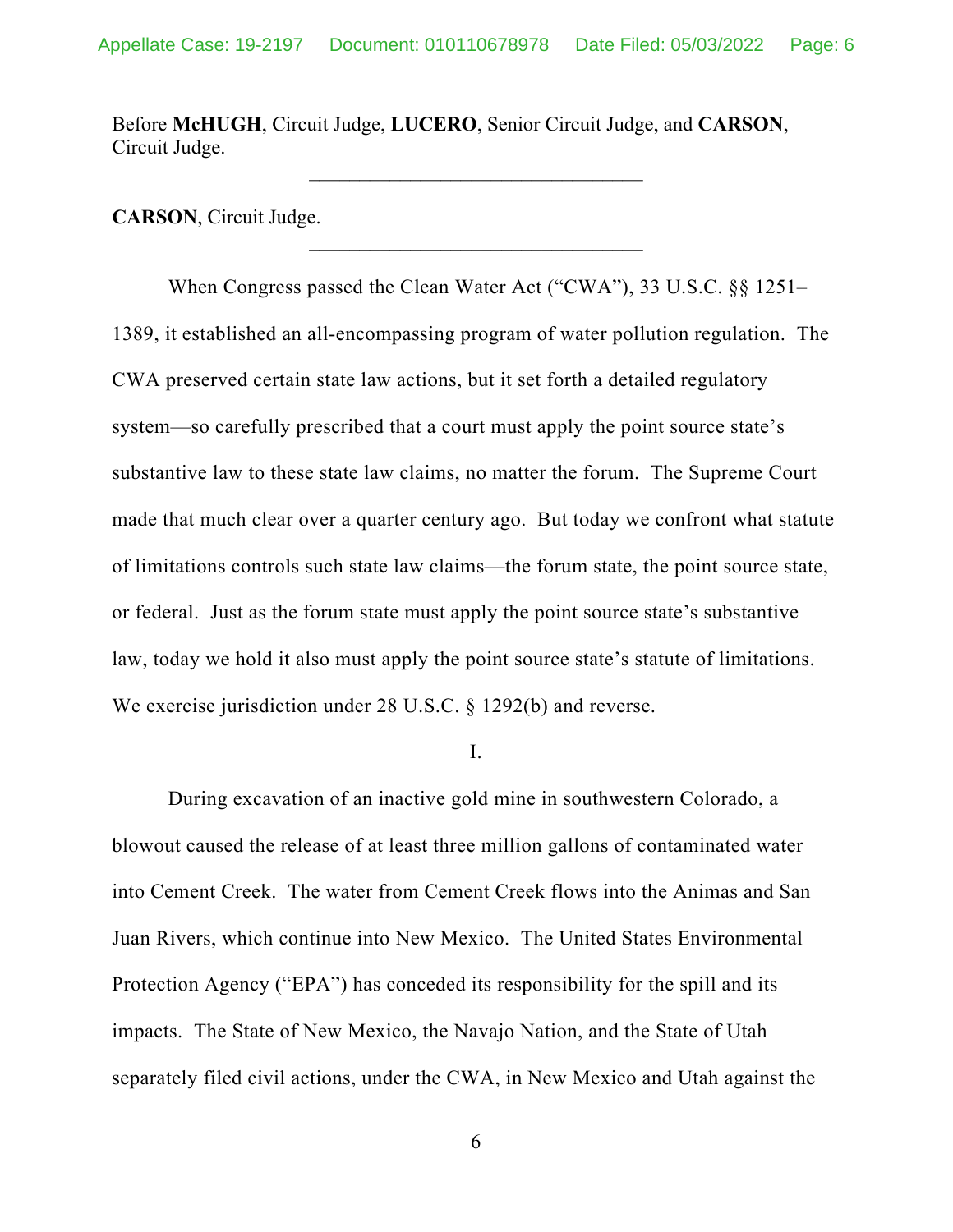Before **McHUGH**, Circuit Judge, **LUCERO**, Senior Circuit Judge, and **CARSON**, Circuit Judge.

**CARSON**, Circuit Judge.

When Congress passed the Clean Water Act ("CWA"), 33 U.S.C. §§ 1251– 1389, it established an all-encompassing program of water pollution regulation. The CWA preserved certain state law actions, but it set forth a detailed regulatory system—so carefully prescribed that a court must apply the point source state's substantive law to these state law claims, no matter the forum. The Supreme Court made that much clear over a quarter century ago. But today we confront what statute of limitations controls such state law claims—the forum state, the point source state, or federal. Just as the forum state must apply the point source state's substantive law, today we hold it also must apply the point source state's statute of limitations. We exercise jurisdiction under 28 U.S.C. § 1292(b) and reverse.

I.

During excavation of an inactive gold mine in southwestern Colorado, a blowout caused the release of at least three million gallons of contaminated water into Cement Creek. The water from Cement Creek flows into the Animas and San Juan Rivers, which continue into New Mexico. The United States Environmental Protection Agency ("EPA") has conceded its responsibility for the spill and its impacts. The State of New Mexico, the Navajo Nation, and the State of Utah separately filed civil actions, under the CWA, in New Mexico and Utah against the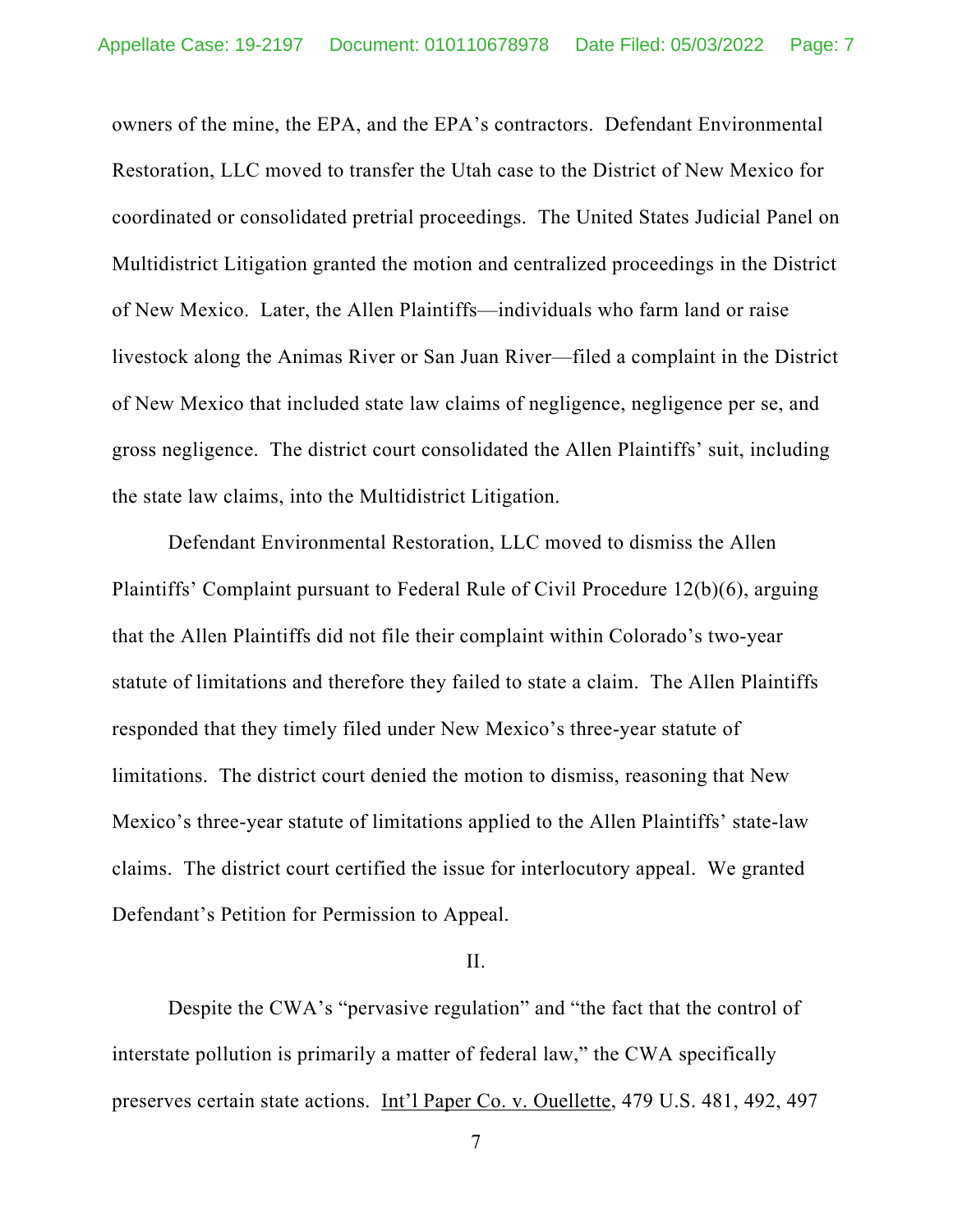owners of the mine, the EPA, and the EPA's contractors. Defendant Environmental Restoration, LLC moved to transfer the Utah case to the District of New Mexico for coordinated or consolidated pretrial proceedings. The United States Judicial Panel on Multidistrict Litigation granted the motion and centralized proceedings in the District of New Mexico. Later, the Allen Plaintiffs—individuals who farm land or raise livestock along the Animas River or San Juan River—filed a complaint in the District of New Mexico that included state law claims of negligence, negligence per se, and gross negligence. The district court consolidated the Allen Plaintiffs' suit, including the state law claims, into the Multidistrict Litigation.

Defendant Environmental Restoration, LLC moved to dismiss the Allen Plaintiffs' Complaint pursuant to Federal Rule of Civil Procedure 12(b)(6), arguing that the Allen Plaintiffs did not file their complaint within Colorado's two-year statute of limitations and therefore they failed to state a claim. The Allen Plaintiffs responded that they timely filed under New Mexico's three-year statute of limitations. The district court denied the motion to dismiss, reasoning that New Mexico's three-year statute of limitations applied to the Allen Plaintiffs' state-law claims. The district court certified the issue for interlocutory appeal. We granted Defendant's Petition for Permission to Appeal.

## II.

Despite the CWA's "pervasive regulation" and "the fact that the control of interstate pollution is primarily a matter of federal law," the CWA specifically preserves certain state actions. Int'l Paper Co. v. Ouellette, 479 U.S. 481, 492, 497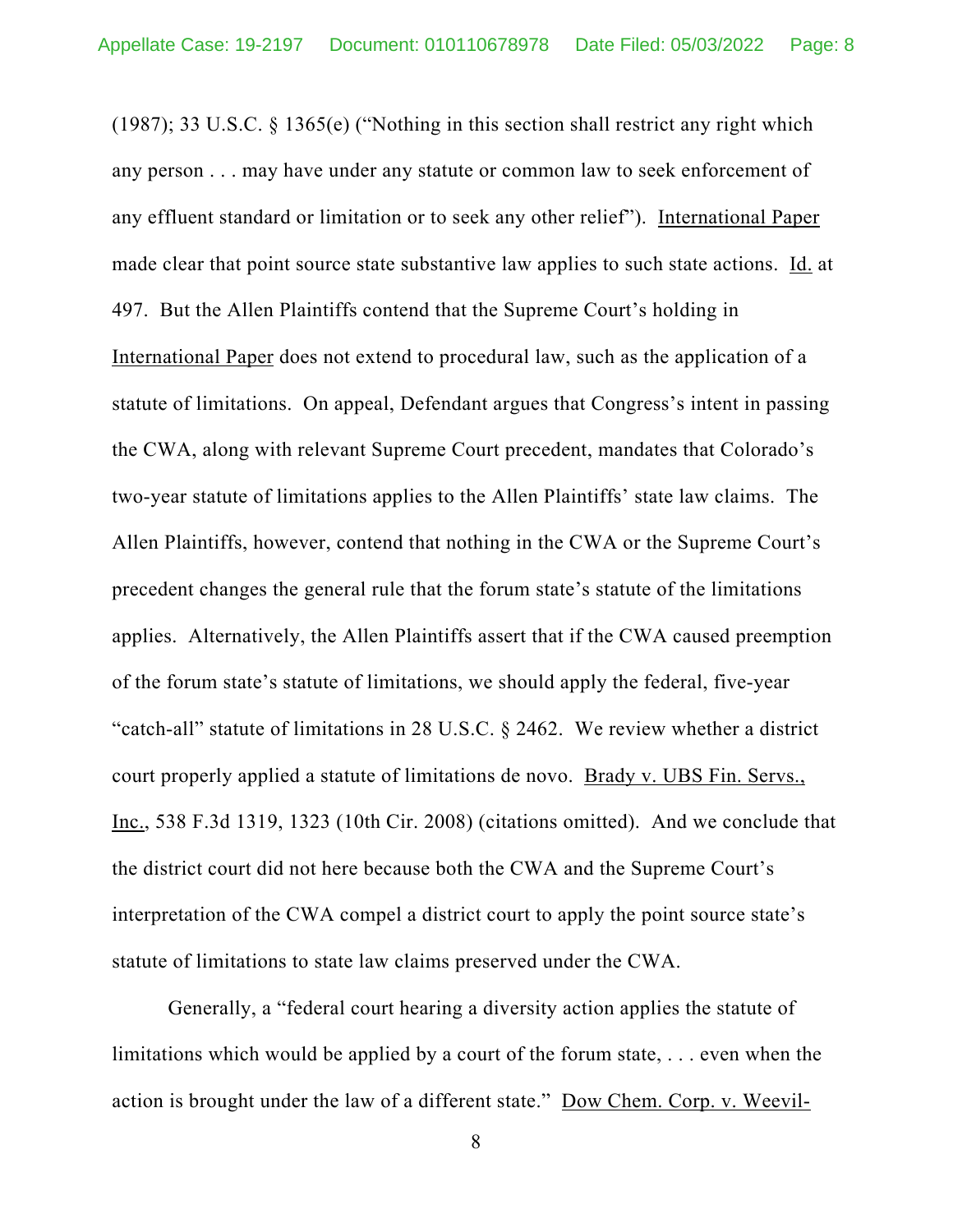(1987); 33 U.S.C. § 1365(e) ("Nothing in this section shall restrict any right which any person . . . may have under any statute or common law to seek enforcement of any effluent standard or limitation or to seek any other relief"). International Paper made clear that point source state substantive law applies to such state actions. Id. at 497. But the Allen Plaintiffs contend that the Supreme Court's holding in International Paper does not extend to procedural law, such as the application of a statute of limitations. On appeal, Defendant argues that Congress's intent in passing the CWA, along with relevant Supreme Court precedent, mandates that Colorado's two-year statute of limitations applies to the Allen Plaintiffs' state law claims. The Allen Plaintiffs, however, contend that nothing in the CWA or the Supreme Court's precedent changes the general rule that the forum state's statute of the limitations applies. Alternatively, the Allen Plaintiffs assert that if the CWA caused preemption of the forum state's statute of limitations, we should apply the federal, five-year "catch-all" statute of limitations in 28 U.S.C. § 2462. We review whether a district court properly applied a statute of limitations de novo. Brady v. UBS Fin. Servs., Inc., 538 F.3d 1319, 1323 (10th Cir. 2008) (citations omitted). And we conclude that the district court did not here because both the CWA and the Supreme Court's interpretation of the CWA compel a district court to apply the point source state's statute of limitations to state law claims preserved under the CWA.

Generally, a "federal court hearing a diversity action applies the statute of limitations which would be applied by a court of the forum state, . . . even when the action is brought under the law of a different state." Dow Chem. Corp. v. Weevil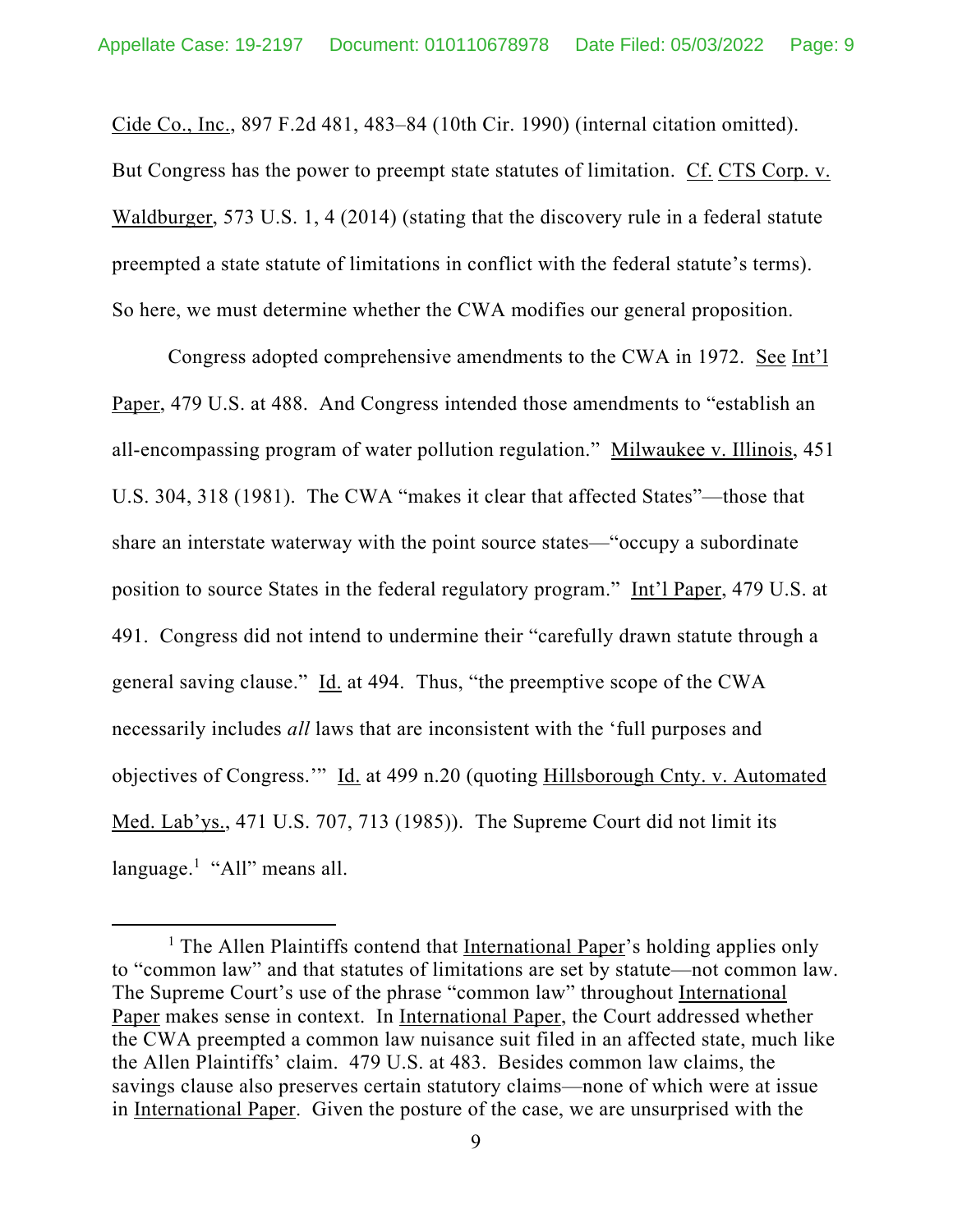Cide Co., Inc., 897 F.2d 481, 483–84 (10th Cir. 1990) (internal citation omitted). But Congress has the power to preempt state statutes of limitation. Cf. CTS Corp. v. Waldburger, 573 U.S. 1, 4 (2014) (stating that the discovery rule in a federal statute preempted a state statute of limitations in conflict with the federal statute's terms). So here, we must determine whether the CWA modifies our general proposition.

Congress adopted comprehensive amendments to the CWA in 1972. See Int'l Paper, 479 U.S. at 488. And Congress intended those amendments to "establish an all-encompassing program of water pollution regulation." Milwaukee v. Illinois, 451 U.S. 304, 318 (1981). The CWA "makes it clear that affected States"—those that share an interstate waterway with the point source states—"occupy a subordinate position to source States in the federal regulatory program." Int'l Paper, 479 U.S. at 491. Congress did not intend to undermine their "carefully drawn statute through a general saving clause." Id. at 494. Thus, "the preemptive scope of the CWA necessarily includes *all* laws that are inconsistent with the 'full purposes and objectives of Congress.'" Id. at 499 n.20 (quoting Hillsborough Cnty. v. Automated Med. Lab'ys., 471 U.S. 707, 713 (1985)). The Supreme Court did not limit its language.<sup>1</sup> "All" means all.

<sup>&</sup>lt;sup>1</sup> The Allen Plaintiffs contend that International Paper's holding applies only to "common law" and that statutes of limitations are set by statute—not common law. The Supreme Court's use of the phrase "common law" throughout International Paper makes sense in context. In International Paper, the Court addressed whether the CWA preempted a common law nuisance suit filed in an affected state, much like the Allen Plaintiffs' claim. 479 U.S. at 483. Besides common law claims, the savings clause also preserves certain statutory claims—none of which were at issue in International Paper. Given the posture of the case, we are unsurprised with the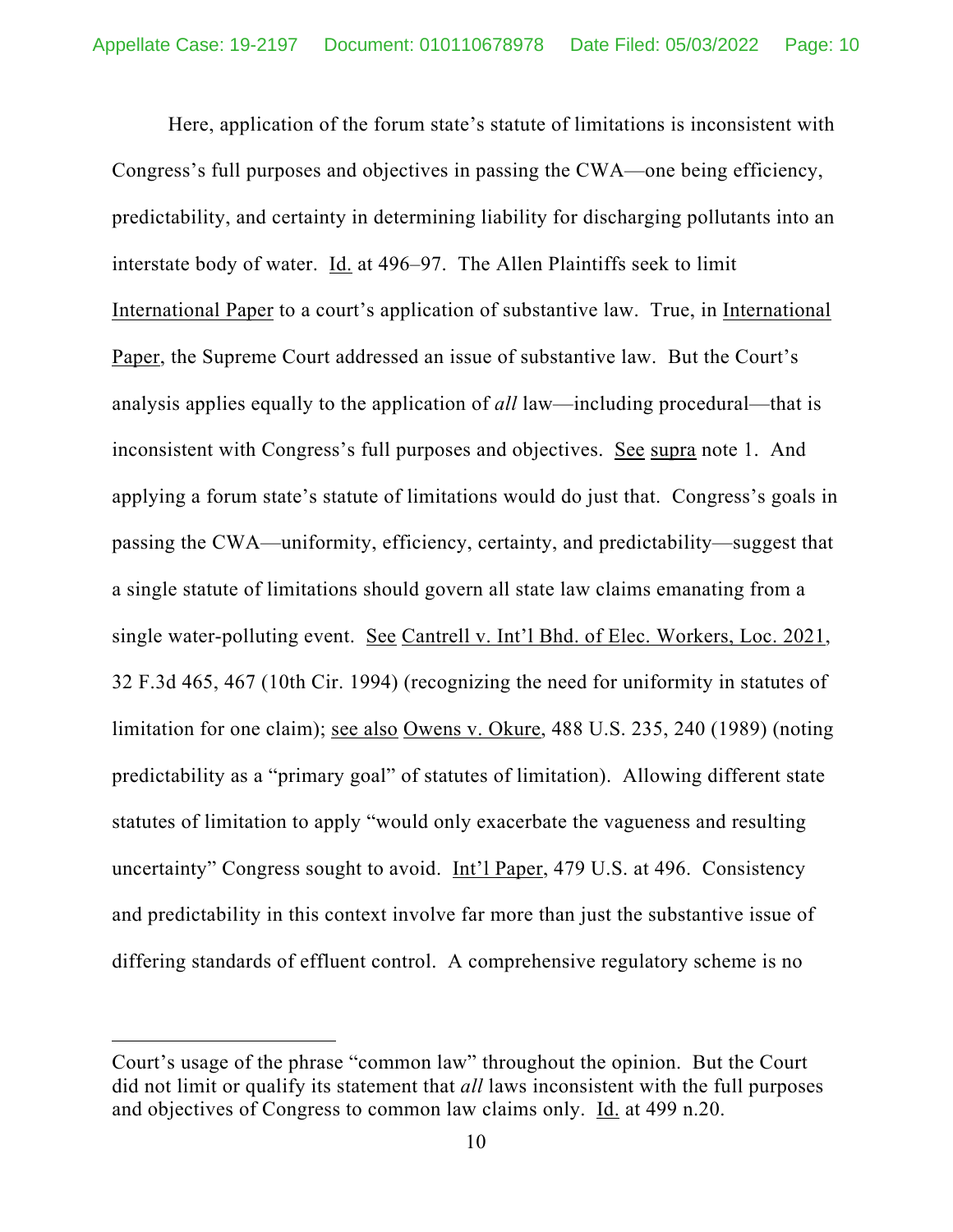Here, application of the forum state's statute of limitations is inconsistent with Congress's full purposes and objectives in passing the CWA—one being efficiency, predictability, and certainty in determining liability for discharging pollutants into an interstate body of water. Id. at 496–97. The Allen Plaintiffs seek to limit International Paper to a court's application of substantive law. True, in International Paper, the Supreme Court addressed an issue of substantive law. But the Court's analysis applies equally to the application of *all* law—including procedural—that is inconsistent with Congress's full purposes and objectives. See supra note 1. And applying a forum state's statute of limitations would do just that. Congress's goals in passing the CWA—uniformity, efficiency, certainty, and predictability—suggest that a single statute of limitations should govern all state law claims emanating from a single water-polluting event. See Cantrell v. Int'l Bhd. of Elec. Workers, Loc. 2021, 32 F.3d 465, 467 (10th Cir. 1994) (recognizing the need for uniformity in statutes of limitation for one claim); see also Owens v. Okure, 488 U.S. 235, 240 (1989) (noting predictability as a "primary goal" of statutes of limitation). Allowing different state statutes of limitation to apply "would only exacerbate the vagueness and resulting uncertainty" Congress sought to avoid. Int'l Paper, 479 U.S. at 496. Consistency and predictability in this context involve far more than just the substantive issue of differing standards of effluent control. A comprehensive regulatory scheme is no

Court's usage of the phrase "common law" throughout the opinion. But the Court did not limit or qualify its statement that *all* laws inconsistent with the full purposes and objectives of Congress to common law claims only. Id. at 499 n.20.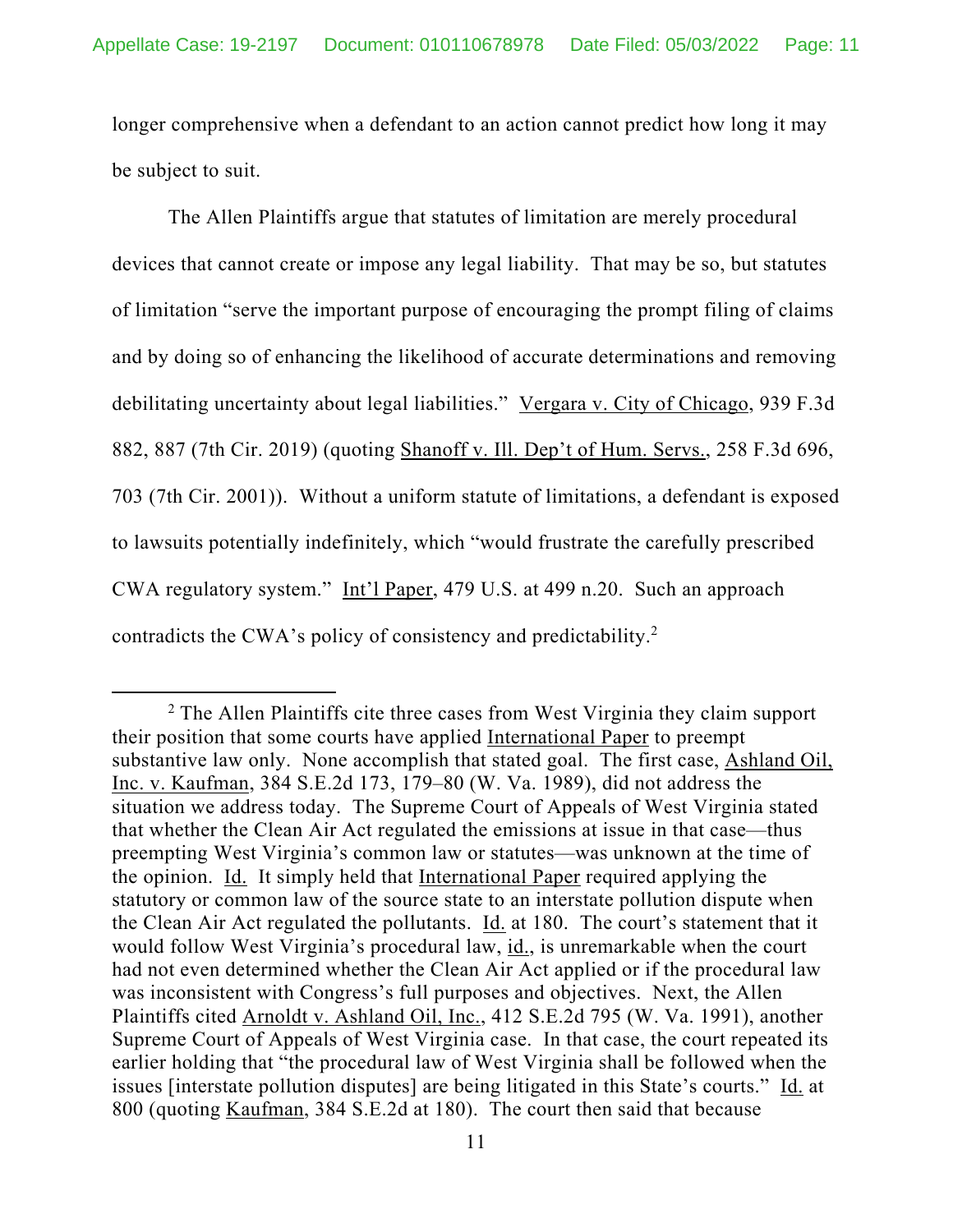longer comprehensive when a defendant to an action cannot predict how long it may be subject to suit.

The Allen Plaintiffs argue that statutes of limitation are merely procedural devices that cannot create or impose any legal liability. That may be so, but statutes of limitation "serve the important purpose of encouraging the prompt filing of claims and by doing so of enhancing the likelihood of accurate determinations and removing debilitating uncertainty about legal liabilities." Vergara v. City of Chicago, 939 F.3d 882, 887 (7th Cir. 2019) (quoting Shanoff v. Ill. Dep't of Hum. Servs., 258 F.3d 696, 703 (7th Cir. 2001)). Without a uniform statute of limitations, a defendant is exposed to lawsuits potentially indefinitely, which "would frustrate the carefully prescribed CWA regulatory system." Int'l Paper, 479 U.S. at 499 n.20. Such an approach contradicts the CWA's policy of consistency and predictability.2

<sup>&</sup>lt;sup>2</sup> The Allen Plaintiffs cite three cases from West Virginia they claim support their position that some courts have applied International Paper to preempt substantive law only. None accomplish that stated goal. The first case, Ashland Oil, Inc. v. Kaufman, 384 S.E.2d 173, 179–80 (W. Va. 1989), did not address the situation we address today. The Supreme Court of Appeals of West Virginia stated that whether the Clean Air Act regulated the emissions at issue in that case—thus preempting West Virginia's common law or statutes—was unknown at the time of the opinion. Id. It simply held that International Paper required applying the statutory or common law of the source state to an interstate pollution dispute when the Clean Air Act regulated the pollutants. Id. at 180. The court's statement that it would follow West Virginia's procedural law, id., is unremarkable when the court had not even determined whether the Clean Air Act applied or if the procedural law was inconsistent with Congress's full purposes and objectives. Next, the Allen Plaintiffs cited Arnoldt v. Ashland Oil, Inc., 412 S.E.2d 795 (W. Va. 1991), another Supreme Court of Appeals of West Virginia case. In that case, the court repeated its earlier holding that "the procedural law of West Virginia shall be followed when the issues [interstate pollution disputes] are being litigated in this State's courts." Id. at 800 (quoting Kaufman, 384 S.E.2d at 180). The court then said that because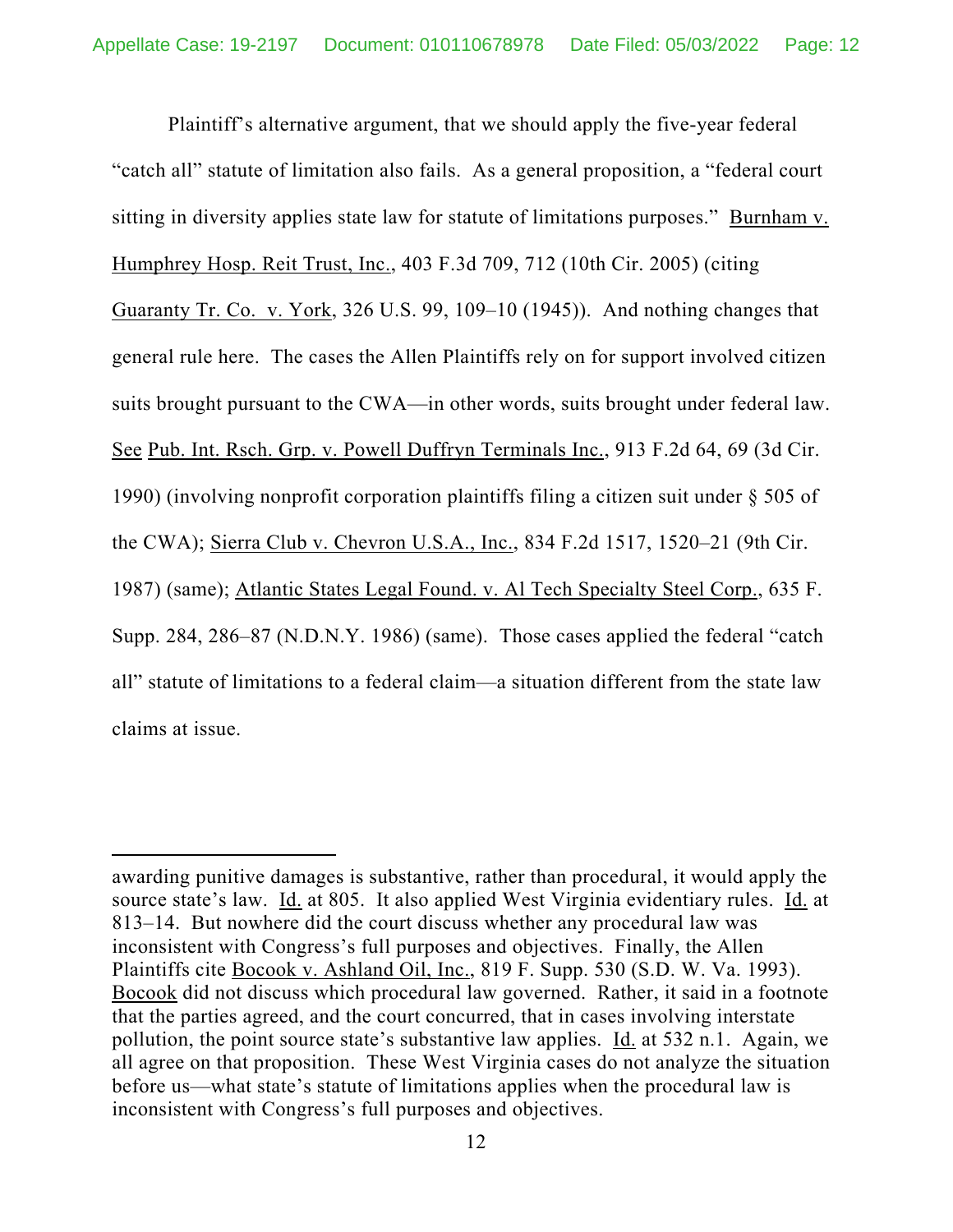Plaintiff's alternative argument, that we should apply the five-year federal "catch all" statute of limitation also fails. As a general proposition, a "federal court sitting in diversity applies state law for statute of limitations purposes." Burnham v. Humphrey Hosp. Reit Trust, Inc., 403 F.3d 709, 712 (10th Cir. 2005) (citing Guaranty Tr. Co. v. York, 326 U.S. 99, 109–10 (1945)). And nothing changes that general rule here. The cases the Allen Plaintiffs rely on for support involved citizen suits brought pursuant to the CWA—in other words, suits brought under federal law. See Pub. Int. Rsch. Grp. v. Powell Duffryn Terminals Inc., 913 F.2d 64, 69 (3d Cir. 1990) (involving nonprofit corporation plaintiffs filing a citizen suit under § 505 of the CWA); Sierra Club v. Chevron U.S.A., Inc., 834 F.2d 1517, 1520–21 (9th Cir. 1987) (same); Atlantic States Legal Found. v. Al Tech Specialty Steel Corp., 635 F. Supp. 284, 286–87 (N.D.N.Y. 1986) (same). Those cases applied the federal "catch all" statute of limitations to a federal claim—a situation different from the state law claims at issue.

awarding punitive damages is substantive, rather than procedural, it would apply the source state's law. Id. at 805. It also applied West Virginia evidentiary rules. Id. at 813–14. But nowhere did the court discuss whether any procedural law was inconsistent with Congress's full purposes and objectives. Finally, the Allen Plaintiffs cite Bocook v. Ashland Oil, Inc., 819 F. Supp. 530 (S.D. W. Va. 1993). Bocook did not discuss which procedural law governed. Rather, it said in a footnote that the parties agreed, and the court concurred, that in cases involving interstate pollution, the point source state's substantive law applies. Id. at 532 n.1. Again, we all agree on that proposition. These West Virginia cases do not analyze the situation before us—what state's statute of limitations applies when the procedural law is inconsistent with Congress's full purposes and objectives.